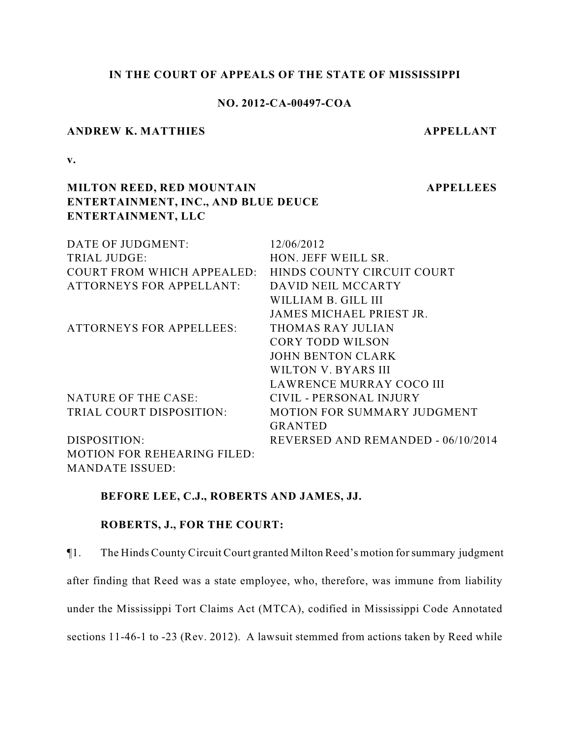#### **IN THE COURT OF APPEALS OF THE STATE OF MISSISSIPPI**

# **NO. 2012-CA-00497-COA**

# **ANDREW K. MATTHIES APPELLANT**

**APPELLEES**

**v.**

# **MILTON REED, RED MOUNTAIN ENTERTAINMENT, INC., AND BLUE DEUCE ENTERTAINMENT, LLC**

| DATE OF JUDGMENT:                  | 12/06/2012                         |
|------------------------------------|------------------------------------|
| <b>TRIAL JUDGE:</b>                | HON. JEFF WEILL SR.                |
| COURT FROM WHICH APPEALED:         | HINDS COUNTY CIRCUIT COURT         |
| <b>ATTORNEYS FOR APPELLANT:</b>    | DAVID NEIL MCCARTY                 |
|                                    | WILLIAM B. GILL III                |
|                                    | JAMES MICHAEL PRIEST JR.           |
| <b>ATTORNEYS FOR APPELLEES:</b>    | THOMAS RAY JULIAN                  |
|                                    | <b>CORY TODD WILSON</b>            |
|                                    | JOHN BENTON CLARK                  |
|                                    | WILTON V. BYARS III                |
|                                    | LAWRENCE MURRAY COCO III           |
| NATURE OF THE CASE:                | CIVIL - PERSONAL INJURY            |
| TRIAL COURT DISPOSITION:           | <b>MOTION FOR SUMMARY JUDGMENT</b> |
|                                    | <b>GRANTED</b>                     |
| DISPOSITION:                       | REVERSED AND REMANDED - 06/10/2014 |
| <b>MOTION FOR REHEARING FILED:</b> |                                    |
| <b>MANDATE ISSUED:</b>             |                                    |

## **BEFORE LEE, C.J., ROBERTS AND JAMES, JJ.**

# **ROBERTS, J., FOR THE COURT:**

¶1. The Hinds County Circuit Court granted Milton Reed's motion for summary judgment after finding that Reed was a state employee, who, therefore, was immune from liability under the Mississippi Tort Claims Act (MTCA), codified in Mississippi Code Annotated sections 11-46-1 to -23 (Rev. 2012). A lawsuit stemmed from actions taken by Reed while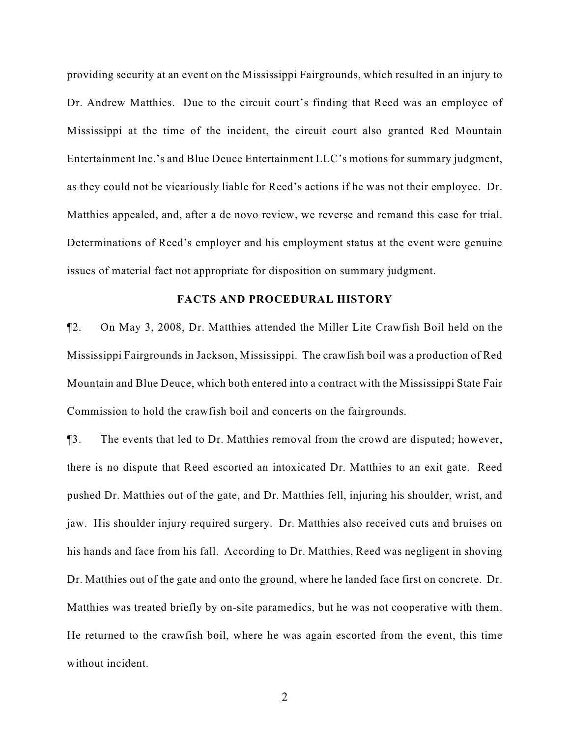providing security at an event on the Mississippi Fairgrounds, which resulted in an injury to Dr. Andrew Matthies. Due to the circuit court's finding that Reed was an employee of Mississippi at the time of the incident, the circuit court also granted Red Mountain Entertainment Inc.'s and Blue Deuce Entertainment LLC's motions for summary judgment, as they could not be vicariously liable for Reed's actions if he was not their employee. Dr. Matthies appealed, and, after a de novo review, we reverse and remand this case for trial. Determinations of Reed's employer and his employment status at the event were genuine issues of material fact not appropriate for disposition on summary judgment.

#### **FACTS AND PROCEDURAL HISTORY**

¶2. On May 3, 2008, Dr. Matthies attended the Miller Lite Crawfish Boil held on the Mississippi Fairgrounds in Jackson, Mississippi. The crawfish boil was a production of Red Mountain and Blue Deuce, which both entered into a contract with the Mississippi State Fair Commission to hold the crawfish boil and concerts on the fairgrounds.

¶3. The events that led to Dr. Matthies removal from the crowd are disputed; however, there is no dispute that Reed escorted an intoxicated Dr. Matthies to an exit gate. Reed pushed Dr. Matthies out of the gate, and Dr. Matthies fell, injuring his shoulder, wrist, and jaw. His shoulder injury required surgery. Dr. Matthies also received cuts and bruises on his hands and face from his fall. According to Dr. Matthies, Reed was negligent in shoving Dr. Matthies out of the gate and onto the ground, where he landed face first on concrete. Dr. Matthies was treated briefly by on-site paramedics, but he was not cooperative with them. He returned to the crawfish boil, where he was again escorted from the event, this time without incident.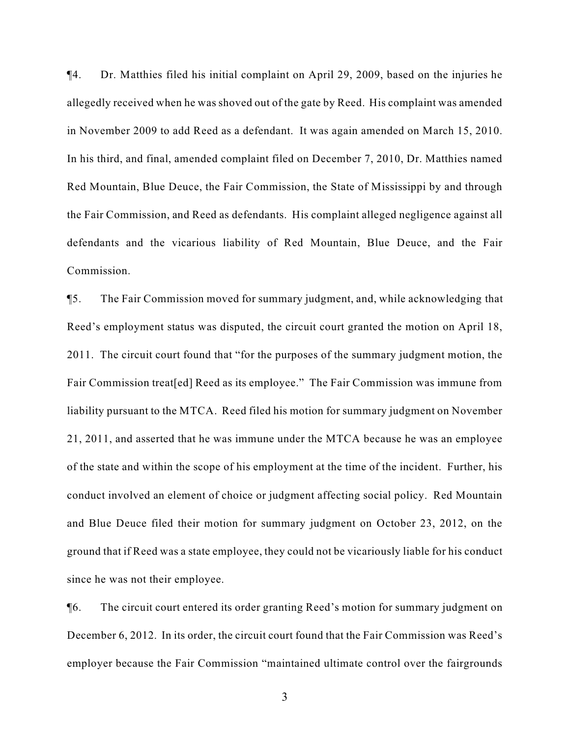¶4. Dr. Matthies filed his initial complaint on April 29, 2009, based on the injuries he allegedly received when he was shoved out of the gate by Reed. His complaint was amended in November 2009 to add Reed as a defendant. It was again amended on March 15, 2010. In his third, and final, amended complaint filed on December 7, 2010, Dr. Matthies named Red Mountain, Blue Deuce, the Fair Commission, the State of Mississippi by and through the Fair Commission, and Reed as defendants. His complaint alleged negligence against all defendants and the vicarious liability of Red Mountain, Blue Deuce, and the Fair Commission.

¶5. The Fair Commission moved for summary judgment, and, while acknowledging that Reed's employment status was disputed, the circuit court granted the motion on April 18, 2011. The circuit court found that "for the purposes of the summary judgment motion, the Fair Commission treat[ed] Reed as its employee." The Fair Commission was immune from liability pursuant to the MTCA. Reed filed his motion for summary judgment on November 21, 2011, and asserted that he was immune under the MTCA because he was an employee of the state and within the scope of his employment at the time of the incident. Further, his conduct involved an element of choice or judgment affecting social policy. Red Mountain and Blue Deuce filed their motion for summary judgment on October 23, 2012, on the ground that if Reed was a state employee, they could not be vicariously liable for his conduct since he was not their employee.

¶6. The circuit court entered its order granting Reed's motion for summary judgment on December 6, 2012. In its order, the circuit court found that the Fair Commission was Reed's employer because the Fair Commission "maintained ultimate control over the fairgrounds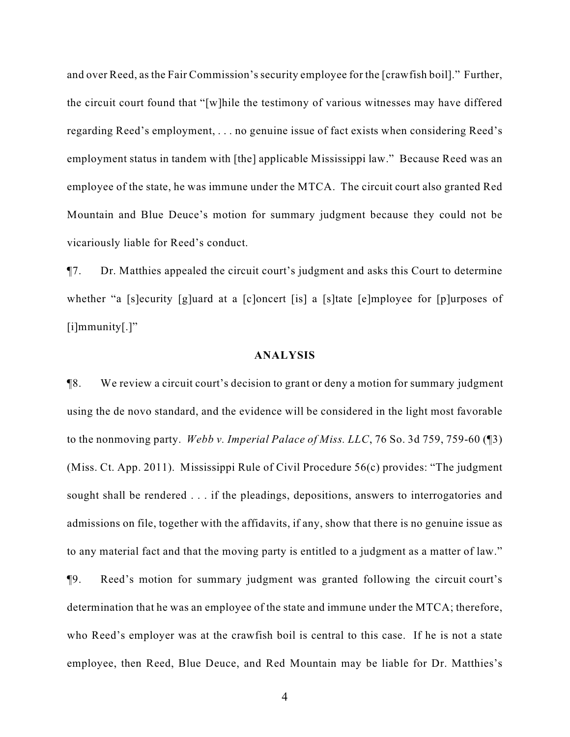and over Reed, as the Fair Commission's security employee for the [crawfish boil]." Further, the circuit court found that "[w]hile the testimony of various witnesses may have differed regarding Reed's employment, . . . no genuine issue of fact exists when considering Reed's employment status in tandem with [the] applicable Mississippi law." Because Reed was an employee of the state, he was immune under the MTCA. The circuit court also granted Red Mountain and Blue Deuce's motion for summary judgment because they could not be vicariously liable for Reed's conduct.

¶7. Dr. Matthies appealed the circuit court's judgment and asks this Court to determine whether "a [s]ecurity [g]uard at a [c]oncert [is] a [s]tate [e]mployee for [p]urposes of [i]mmunity[.]"

#### **ANALYSIS**

¶8. We review a circuit court's decision to grant or deny a motion for summary judgment using the de novo standard, and the evidence will be considered in the light most favorable to the nonmoving party. *Webb v. Imperial Palace of Miss. LLC*, 76 So. 3d 759, 759-60 (¶3) (Miss. Ct. App. 2011). Mississippi Rule of Civil Procedure 56(c) provides: "The judgment sought shall be rendered . . . if the pleadings, depositions, answers to interrogatories and admissions on file, together with the affidavits, if any, show that there is no genuine issue as to any material fact and that the moving party is entitled to a judgment as a matter of law." ¶9. Reed's motion for summary judgment was granted following the circuit court's determination that he was an employee of the state and immune under the MTCA; therefore, who Reed's employer was at the crawfish boil is central to this case. If he is not a state employee, then Reed, Blue Deuce, and Red Mountain may be liable for Dr. Matthies's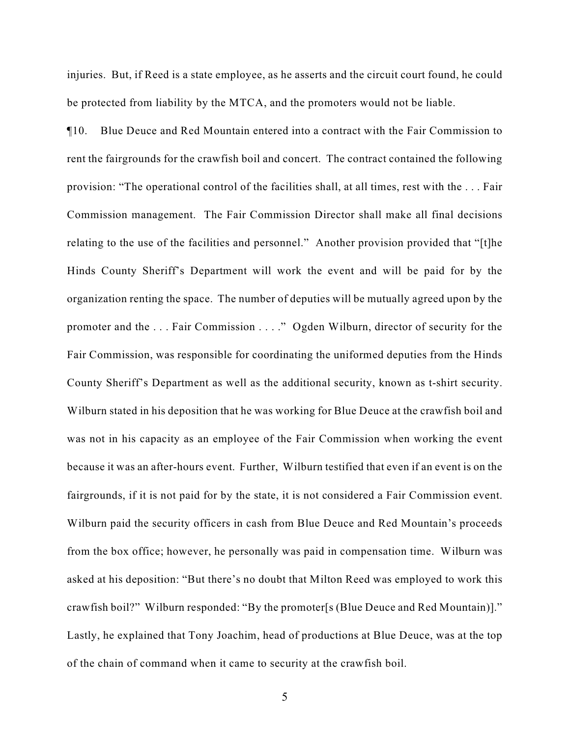injuries. But, if Reed is a state employee, as he asserts and the circuit court found, he could be protected from liability by the MTCA, and the promoters would not be liable.

¶10. Blue Deuce and Red Mountain entered into a contract with the Fair Commission to rent the fairgrounds for the crawfish boil and concert. The contract contained the following provision: "The operational control of the facilities shall, at all times, rest with the . . . Fair Commission management. The Fair Commission Director shall make all final decisions relating to the use of the facilities and personnel." Another provision provided that "[t]he Hinds County Sheriff's Department will work the event and will be paid for by the organization renting the space. The number of deputies will be mutually agreed upon by the promoter and the . . . Fair Commission . . . ." Ogden Wilburn, director of security for the Fair Commission, was responsible for coordinating the uniformed deputies from the Hinds County Sheriff's Department as well as the additional security, known as t-shirt security. Wilburn stated in his deposition that he was working for Blue Deuce at the crawfish boil and was not in his capacity as an employee of the Fair Commission when working the event because it was an after-hours event. Further, Wilburn testified that even if an event is on the fairgrounds, if it is not paid for by the state, it is not considered a Fair Commission event. Wilburn paid the security officers in cash from Blue Deuce and Red Mountain's proceeds from the box office; however, he personally was paid in compensation time. Wilburn was asked at his deposition: "But there's no doubt that Milton Reed was employed to work this crawfish boil?" Wilburn responded: "By the promoter[s (Blue Deuce and Red Mountain)]." Lastly, he explained that Tony Joachim, head of productions at Blue Deuce, was at the top of the chain of command when it came to security at the crawfish boil.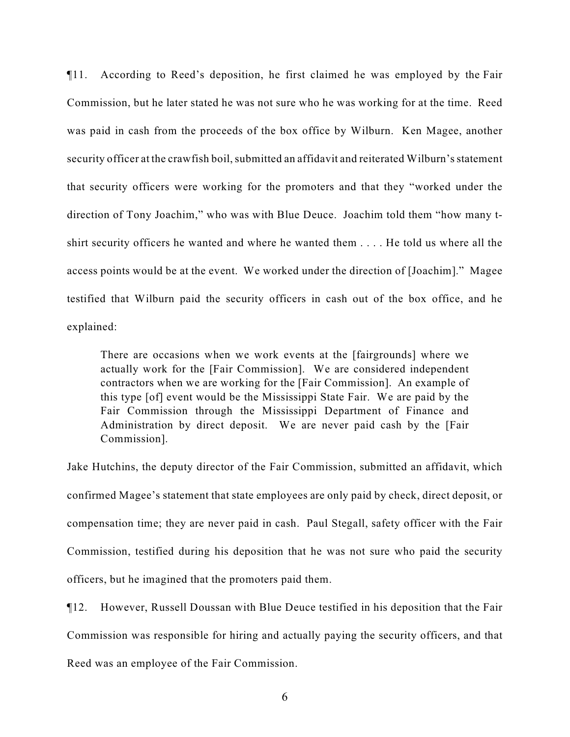¶11. According to Reed's deposition, he first claimed he was employed by the Fair Commission, but he later stated he was not sure who he was working for at the time. Reed was paid in cash from the proceeds of the box office by Wilburn. Ken Magee, another security officer at the crawfish boil, submitted an affidavit and reiterated Wilburn's statement that security officers were working for the promoters and that they "worked under the direction of Tony Joachim," who was with Blue Deuce. Joachim told them "how many tshirt security officers he wanted and where he wanted them . . . . He told us where all the access points would be at the event. We worked under the direction of [Joachim]." Magee testified that Wilburn paid the security officers in cash out of the box office, and he explained:

There are occasions when we work events at the [fairgrounds] where we actually work for the [Fair Commission]. We are considered independent contractors when we are working for the [Fair Commission]. An example of this type [of] event would be the Mississippi State Fair. We are paid by the Fair Commission through the Mississippi Department of Finance and Administration by direct deposit. We are never paid cash by the [Fair Commission].

Jake Hutchins, the deputy director of the Fair Commission, submitted an affidavit, which confirmed Magee's statement that state employees are only paid by check, direct deposit, or compensation time; they are never paid in cash. Paul Stegall, safety officer with the Fair Commission, testified during his deposition that he was not sure who paid the security officers, but he imagined that the promoters paid them.

¶12. However, Russell Doussan with Blue Deuce testified in his deposition that the Fair Commission was responsible for hiring and actually paying the security officers, and that Reed was an employee of the Fair Commission.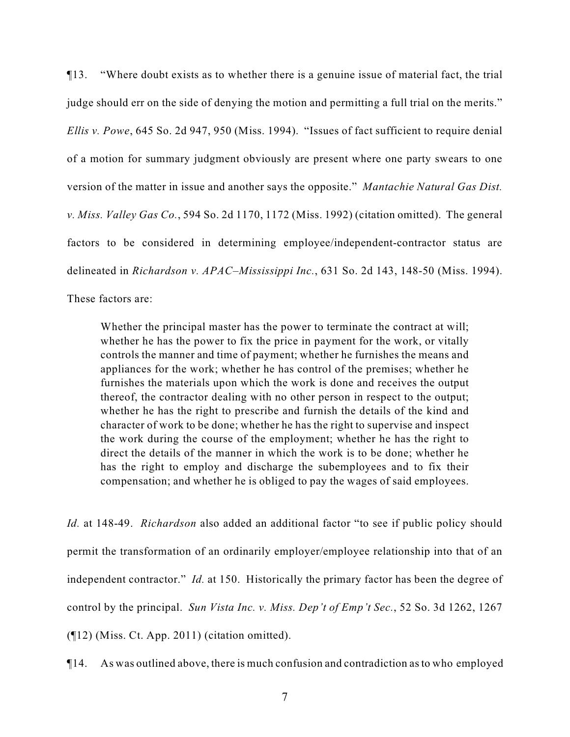¶13. "Where doubt exists as to whether there is a genuine issue of material fact, the trial judge should err on the side of denying the motion and permitting a full trial on the merits." *Ellis v. Powe*, 645 So. 2d 947, 950 (Miss. 1994). "Issues of fact sufficient to require denial of a motion for summary judgment obviously are present where one party swears to one version of the matter in issue and another says the opposite." *Mantachie Natural Gas Dist. v. Miss. Valley Gas Co.*, 594 So. 2d 1170, 1172 (Miss. 1992) (citation omitted). The general factors to be considered in determining employee/independent-contractor status are delineated in *Richardson v. APAC–Mississippi Inc.*, 631 So. 2d 143, 148-50 (Miss. 1994).

These factors are:

Whether the principal master has the power to terminate the contract at will; whether he has the power to fix the price in payment for the work, or vitally controls the manner and time of payment; whether he furnishes the means and appliances for the work; whether he has control of the premises; whether he furnishes the materials upon which the work is done and receives the output thereof, the contractor dealing with no other person in respect to the output; whether he has the right to prescribe and furnish the details of the kind and character of work to be done; whether he has the right to supervise and inspect the work during the course of the employment; whether he has the right to direct the details of the manner in which the work is to be done; whether he has the right to employ and discharge the subemployees and to fix their compensation; and whether he is obliged to pay the wages of said employees.

*Id.* at 148-49. *Richardson* also added an additional factor "to see if public policy should permit the transformation of an ordinarily employer/employee relationship into that of an independent contractor." *Id.* at 150. Historically the primary factor has been the degree of control by the principal. *Sun Vista Inc. v. Miss. Dep't of Emp't Sec.*, 52 So. 3d 1262, 1267 (¶12) (Miss. Ct. App. 2011) (citation omitted).

¶14. As was outlined above, there is much confusion and contradiction as to who employed